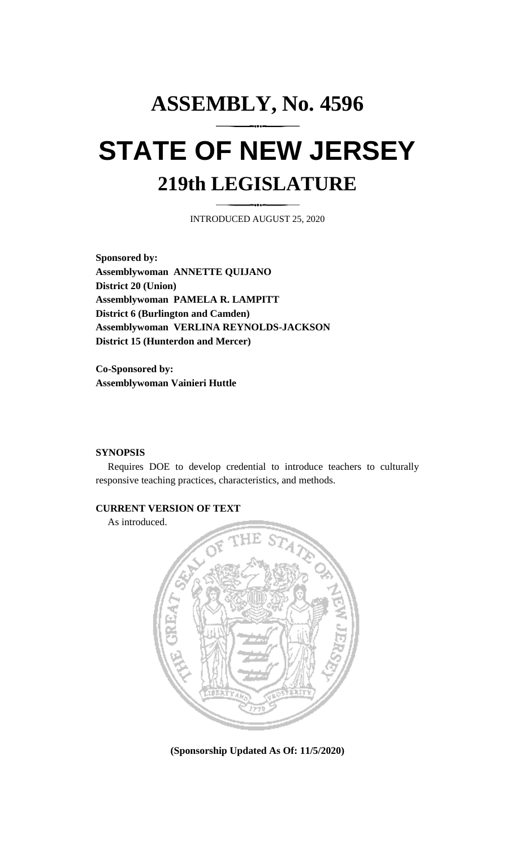# **ASSEMBLY, No. 4596 STATE OF NEW JERSEY 219th LEGISLATURE**

INTRODUCED AUGUST 25, 2020

**Sponsored by: Assemblywoman ANNETTE QUIJANO District 20 (Union) Assemblywoman PAMELA R. LAMPITT District 6 (Burlington and Camden) Assemblywoman VERLINA REYNOLDS-JACKSON District 15 (Hunterdon and Mercer)**

**Co-Sponsored by: Assemblywoman Vainieri Huttle**

#### **SYNOPSIS**

Requires DOE to develop credential to introduce teachers to culturally responsive teaching practices, characteristics, and methods.

#### **CURRENT VERSION OF TEXT**

As introduced.



**(Sponsorship Updated As Of: 11/5/2020)**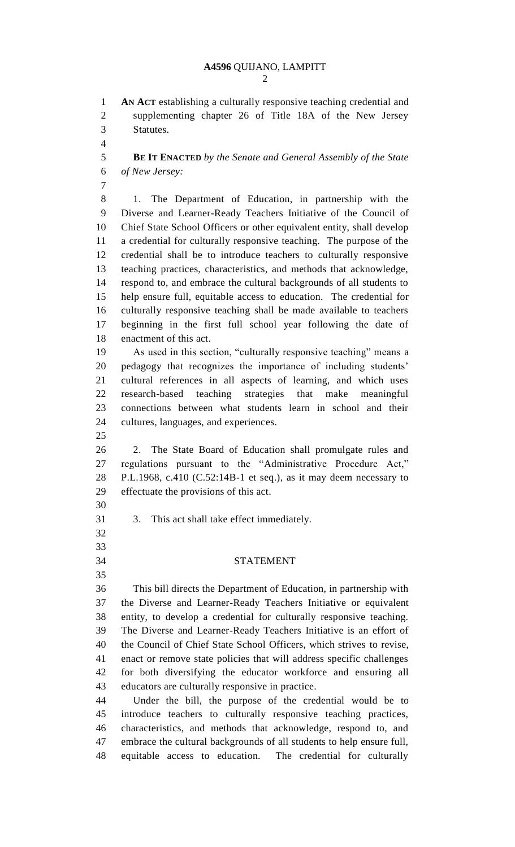**AN ACT** establishing a culturally responsive teaching credential and supplementing chapter 26 of Title 18A of the New Jersey Statutes.

 **BE IT ENACTED** *by the Senate and General Assembly of the State of New Jersey:*

 

 1. The Department of Education, in partnership with the Diverse and Learner-Ready Teachers Initiative of the Council of Chief State School Officers or other equivalent entity, shall develop a credential for culturally responsive teaching. The purpose of the credential shall be to introduce teachers to culturally responsive teaching practices, characteristics, and methods that acknowledge, respond to, and embrace the cultural backgrounds of all students to help ensure full, equitable access to education. The credential for culturally responsive teaching shall be made available to teachers beginning in the first full school year following the date of enactment of this act.

 As used in this section, "culturally responsive teaching" means a pedagogy that recognizes the importance of including students' cultural references in all aspects of learning, and which uses research-based teaching strategies that make meaningful connections between what students learn in school and their cultures, languages, and experiences.

 2. The State Board of Education shall promulgate rules and regulations pursuant to the "Administrative Procedure Act," P.L.1968, c.410 (C.52:14B-1 et seq.), as it may deem necessary to effectuate the provisions of this act.

3. This act shall take effect immediately.

### STATEMENT

 This bill directs the Department of Education, in partnership with the Diverse and Learner-Ready Teachers Initiative or equivalent entity, to develop a credential for culturally responsive teaching. The Diverse and Learner-Ready Teachers Initiative is an effort of the Council of Chief State School Officers, which strives to revise, enact or remove state policies that will address specific challenges for both diversifying the educator workforce and ensuring all educators are culturally responsive in practice.

 Under the bill, the purpose of the credential would be to introduce teachers to culturally responsive teaching practices, characteristics, and methods that acknowledge, respond to, and embrace the cultural backgrounds of all students to help ensure full, equitable access to education. The credential for culturally